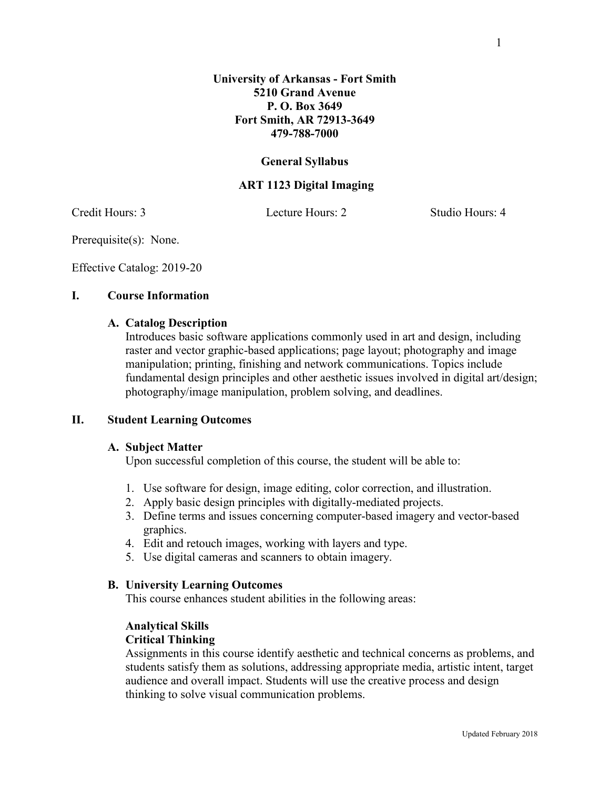# **General Syllabus**

**479-788-7000**

# **ART 1123 Digital Imaging**

Credit Hours: 3 Lecture Hours: 2 Studio Hours: 4

Prerequisite(s): None.

Effective Catalog: 2019-20

# **I. Course Information**

# **A. Catalog Description**

Introduces basic software applications commonly used in art and design, including raster and vector graphic-based applications; page layout; photography and image manipulation; printing, finishing and network communications. Topics include fundamental design principles and other aesthetic issues involved in digital art/design; photography/image manipulation, problem solving, and deadlines.

### **II. Student Learning Outcomes**

#### **A. Subject Matter**

Upon successful completion of this course, the student will be able to:

- 1. Use software for design, image editing, color correction, and illustration.
- 2. Apply basic design principles with digitally-mediated projects.
- 3. Define terms and issues concerning computer-based imagery and vector-based graphics.
- 4. Edit and retouch images, working with layers and type.
- 5. Use digital cameras and scanners to obtain imagery.

#### **B. University Learning Outcomes**

This course enhances student abilities in the following areas:

## **Analytical Skills**

## **Critical Thinking**

Assignments in this course identify aesthetic and technical concerns as problems, and students satisfy them as solutions, addressing appropriate media, artistic intent, target audience and overall impact. Students will use the creative process and design thinking to solve visual communication problems.